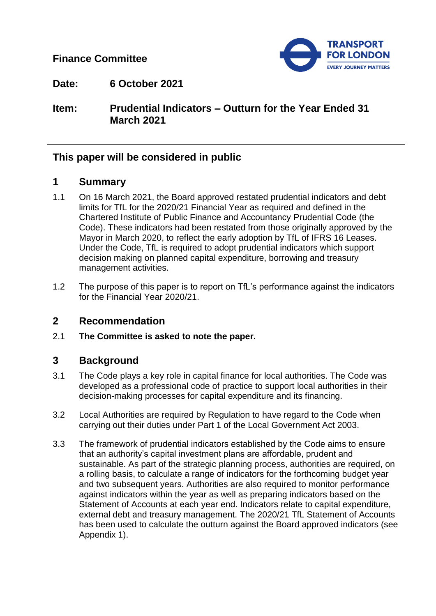**Finance Committee**



**Date: 6 October 2021**

**Item: Prudential Indicators – Outturn for the Year Ended 31 March 2021**

## **This paper will be considered in public**

## **1 Summary**

- 1.1 On 16 March 2021, the Board approved restated prudential indicators and debt limits for TfL for the 2020/21 Financial Year as required and defined in the Chartered Institute of Public Finance and Accountancy Prudential Code (the Code). These indicators had been restated from those originally approved by the Mayor in March 2020, to reflect the early adoption by TfL of IFRS 16 Leases. Under the Code, TfL is required to adopt prudential indicators which support decision making on planned capital expenditure, borrowing and treasury management activities.
- 1.2 The purpose of this paper is to report on TfL's performance against the indicators for the Financial Year 2020/21.

### **2 Recommendation**

2.1 **The Committee is asked to note the paper.**

## **3 Background**

- 3.1 The Code plays a key role in capital finance for local authorities. The Code was developed as a professional code of practice to support local authorities in their decision-making processes for capital expenditure and its financing.
- 3.2 Local Authorities are required by Regulation to have regard to the Code when carrying out their duties under Part 1 of the Local Government Act 2003.
- 3.3 The framework of prudential indicators established by the Code aims to ensure that an authority's capital investment plans are affordable, prudent and sustainable. As part of the strategic planning process, authorities are required, on a rolling basis, to calculate a range of indicators for the forthcoming budget year and two subsequent years. Authorities are also required to monitor performance against indicators within the year as well as preparing indicators based on the Statement of Accounts at each year end. Indicators relate to capital expenditure, external debt and treasury management. The 2020/21 TfL Statement of Accounts has been used to calculate the outturn against the Board approved indicators (see Appendix 1).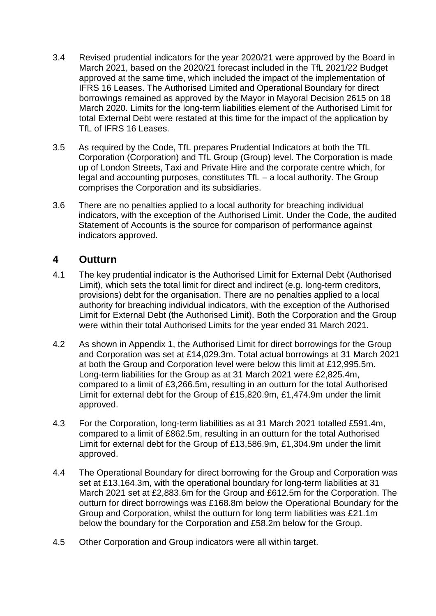- 3.4 Revised prudential indicators for the year 2020/21 were approved by the Board in March 2021, based on the 2020/21 forecast included in the TfL 2021/22 Budget approved at the same time, which included the impact of the implementation of IFRS 16 Leases. The Authorised Limited and Operational Boundary for direct borrowings remained as approved by the Mayor in Mayoral Decision 2615 on 18 March 2020. Limits for the long-term liabilities element of the Authorised Limit for total External Debt were restated at this time for the impact of the application by TfL of IFRS 16 Leases.
- 3.5 As required by the Code, TfL prepares Prudential Indicators at both the TfL Corporation (Corporation) and TfL Group (Group) level. The Corporation is made up of London Streets, Taxi and Private Hire and the corporate centre which, for legal and accounting purposes, constitutes TfL – a local authority. The Group comprises the Corporation and its subsidiaries.
- 3.6 There are no penalties applied to a local authority for breaching individual indicators, with the exception of the Authorised Limit. Under the Code, the audited Statement of Accounts is the source for comparison of performance against indicators approved.

## **4 Outturn**

- 4.1 The key prudential indicator is the Authorised Limit for External Debt (Authorised Limit), which sets the total limit for direct and indirect (e.g. long-term creditors, provisions) debt for the organisation. There are no penalties applied to a local authority for breaching individual indicators, with the exception of the Authorised Limit for External Debt (the Authorised Limit). Both the Corporation and the Group were within their total Authorised Limits for the year ended 31 March 2021.
- 4.2 As shown in Appendix 1, the Authorised Limit for direct borrowings for the Group and Corporation was set at £14,029.3m. Total actual borrowings at 31 March 2021 at both the Group and Corporation level were below this limit at £12,995.5m. Long-term liabilities for the Group as at 31 March 2021 were £2,825.4m, compared to a limit of £3,266.5m, resulting in an outturn for the total Authorised Limit for external debt for the Group of £15,820.9m, £1,474.9m under the limit approved.
- 4.3 For the Corporation, long-term liabilities as at 31 March 2021 totalled £591.4m, compared to a limit of £862.5m, resulting in an outturn for the total Authorised Limit for external debt for the Group of £13,586.9m, £1,304.9m under the limit approved.
- 4.4 The Operational Boundary for direct borrowing for the Group and Corporation was set at £13,164.3m, with the operational boundary for long-term liabilities at 31 March 2021 set at £2,883.6m for the Group and £612.5m for the Corporation. The outturn for direct borrowings was £168.8m below the Operational Boundary for the Group and Corporation, whilst the outturn for long term liabilities was £21.1m below the boundary for the Corporation and £58.2m below for the Group.
- 4.5 Other Corporation and Group indicators were all within target.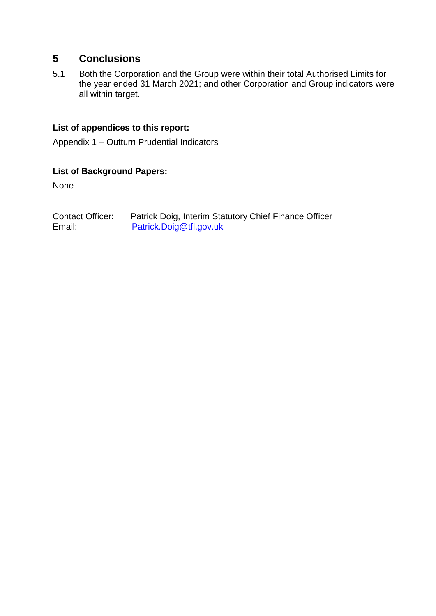# **5 Conclusions**

5.1 Both the Corporation and the Group were within their total Authorised Limits for the year ended 31 March 2021; and other Corporation and Group indicators were all within target.

### **List of appendices to this report:**

Appendix 1 – Outturn Prudential Indicators

### **List of Background Papers:**

None

Contact Officer: Patrick Doig, Interim Statutory Chief Finance Officer Email: [Patrick.Doig@tfl.gov.uk](mailto:Patrick.Doig@tfl.gov.uk)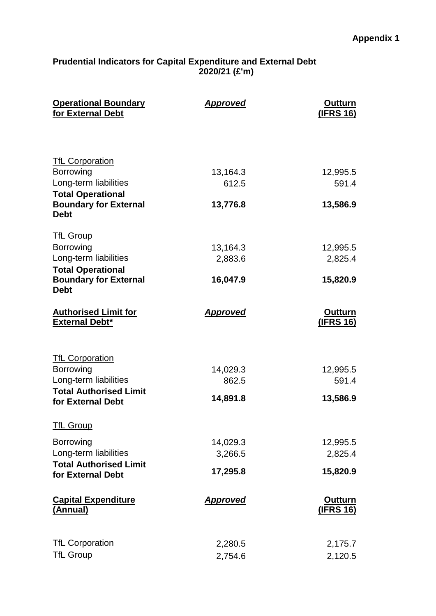#### **Prudential Indicators for Capital Expenditure and External Debt 2020/21 (£'m)**

| <b>Operational Boundary</b><br>for External Debt                                                                                                        | <b>Approved</b>                 | <b>Outturn</b><br><u>(IFRS 16)</u> |
|---------------------------------------------------------------------------------------------------------------------------------------------------------|---------------------------------|------------------------------------|
| <b>TfL Corporation</b><br><b>Borrowing</b><br>Long-term liabilities<br><b>Total Operational</b><br><b>Boundary for External</b>                         | 13,164.3<br>612.5<br>13,776.8   | 12,995.5<br>591.4<br>13,586.9      |
| <b>Debt</b><br><b>TfL Group</b><br><b>Borrowing</b><br>Long-term liabilities<br><b>Total Operational</b><br><b>Boundary for External</b><br><b>Debt</b> | 13,164.3<br>2,883.6<br>16,047.9 | 12,995.5<br>2,825.4<br>15,820.9    |
| <b>Authorised Limit for</b><br><b>External Debt*</b>                                                                                                    | <b>Approved</b>                 | <b>Outturn</b><br><u>(IFRS 16)</u> |
| <b>TfL Corporation</b><br>Borrowing<br>Long-term liabilities<br><b>Total Authorised Limit</b><br>for External Debt                                      | 14,029.3<br>862.5<br>14,891.8   | 12,995.5<br>591.4<br>13,586.9      |
| <b>TfL Group</b><br><b>Borrowing</b><br>Long-term liabilities<br><b>Total Authorised Limit</b><br>for External Debt                                     | 14,029.3<br>3,266.5<br>17,295.8 | 12,995.5<br>2,825.4<br>15,820.9    |
| <b>Capital Expenditure</b><br>(Annual)                                                                                                                  | <b>Approved</b>                 | <b>Outturn</b><br><u>(IFRS 16)</u> |
| <b>TfL Corporation</b><br><b>TfL Group</b>                                                                                                              | 2,280.5<br>2,754.6              | 2,175.7<br>2,120.5                 |